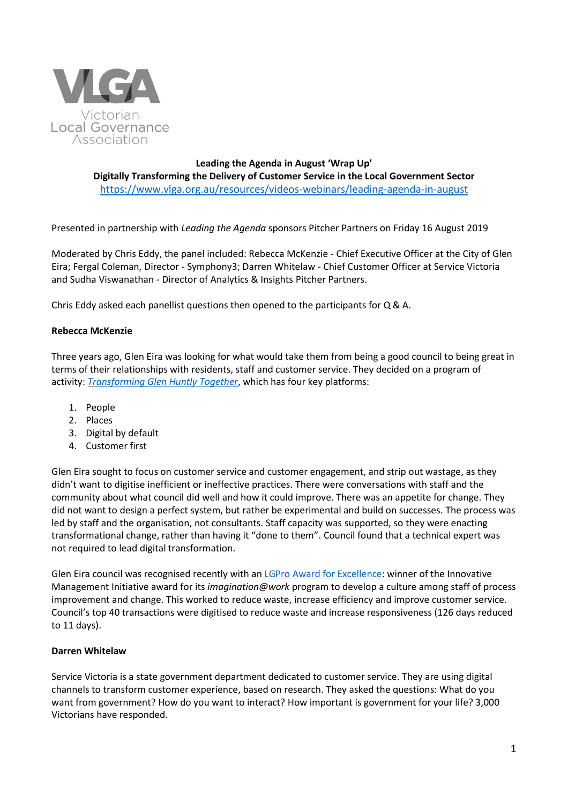

**Leading the Agenda in August 'Wrap Up' Digitally Transforming the Delivery of Customer Service in the Local Government Sector** <https://www.vlga.org.au/resources/videos-webinars/leading-agenda-in-august>

Presented in partnership with *Leading the Agenda* sponsors Pitcher Partners on Friday 16 August 2019

Moderated by Chris Eddy, the panel included: Rebecca McKenzie - Chief Executive Officer at the City of Glen Eira; Fergal Coleman, Director - Symphony3; Darren Whitelaw - Chief Customer Officer at Service Victoria and Sudha Viswanathan - Director of Analytics & Insights Pitcher Partners.

Chris Eddy asked each panellist questions then opened to the participants for Q & A.

## **Rebecca McKenzie**

Three years ago, Glen Eira was looking for what would take them from being a good council to being great in terms of their relationships with residents, staff and customer service. They decided on a program of activity: *[Transforming Glen Huntly](https://www.gleneira.vic.gov.au/get-involved/active-engagements/transforming-glen-huntly-together) Together*, which has four key platforms:

- 1. People
- 2. Places
- 3. Digital by default
- 4. Customer first

Glen Eira sought to focus on customer service and customer engagement, and strip out wastage, as they didn't want to digitise inefficient or ineffective practices. There were conversations with staff and the community about what council did well and how it could improve. There was an appetite for change. They did not want to design a perfect system, but rather be experimental and build on successes. The process was led by staff and the organisation, not consultants. Staff capacity was supported, so they were enacting transformational change, rather than having it "done to them". Council found that a technical expert was not required to lead digital transformation.

Glen Eira council was recognised recently with an **LGPro Award for Excellence:** winner of the Innovative Management Initiative award for its *imagination@work* program to develop a culture among staff of process improvement and change. This worked to reduce waste, increase efficiency and improve customer service. Council's top 40 transactions were digitised to reduce waste and increase responsiveness (126 days reduced to 11 days).

### **Darren Whitelaw**

Service Victoria is a state government department dedicated to customer service. They are using digital channels to transform customer experience, based on research. They asked the questions: What do you want from government? How do you want to interact? How important is government for your life? 3,000 Victorians have responded.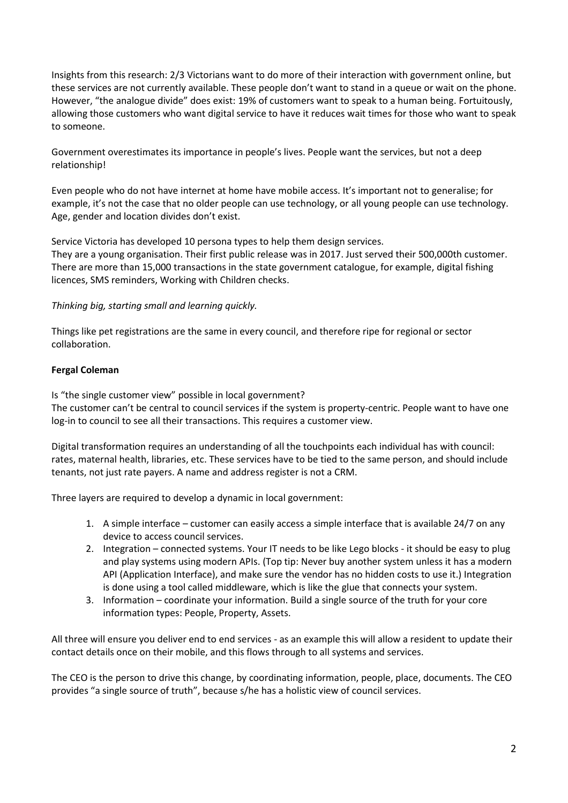Insights from this research: 2/3 Victorians want to do more of their interaction with government online, but these services are not currently available. These people don't want to stand in a queue or wait on the phone. However, "the analogue divide" does exist: 19% of customers want to speak to a human being. Fortuitously, allowing those customers who want digital service to have it reduces wait times for those who want to speak to someone.

Government overestimates its importance in people's lives. People want the services, but not a deep relationship!

Even people who do not have internet at home have mobile access. It's important not to generalise; for example, it's not the case that no older people can use technology, or all young people can use technology. Age, gender and location divides don't exist.

Service Victoria has developed 10 persona types to help them design services.

They are a young organisation. Their first public release was in 2017. Just served their 500,000th customer. There are more than 15,000 transactions in the state government catalogue, for example, digital fishing licences, SMS reminders, Working with Children checks.

*Thinking big, starting small and learning quickly.*

Things like pet registrations are the same in every council, and therefore ripe for regional or sector collaboration.

# **Fergal Coleman**

Is "the single customer view" possible in local government? The customer can't be central to council services if the system is property-centric. People want to have one log-in to council to see all their transactions. This requires a customer view.

Digital transformation requires an understanding of all the touchpoints each individual has with council: rates, maternal health, libraries, etc. These services have to be tied to the same person, and should include tenants, not just rate payers. A name and address register is not a CRM.

Three layers are required to develop a dynamic in local government:

- 1. A simple interface customer can easily access a simple interface that is available 24/7 on any device to access council services.
- 2. Integration connected systems. Your IT needs to be like Lego blocks it should be easy to plug and play systems using modern APIs. (Top tip: Never buy another system unless it has a modern API (Application Interface), and make sure the vendor has no hidden costs to use it.) Integration is done using a tool called middleware, which is like the glue that connects your system.
- 3. Information coordinate your information. Build a single source of the truth for your core information types: People, Property, Assets.

All three will ensure you deliver end to end services - as an example this will allow a resident to update their contact details once on their mobile, and this flows through to all systems and services.

The CEO is the person to drive this change, by coordinating information, people, place, documents. The CEO provides "a single source of truth", because s/he has a holistic view of council services.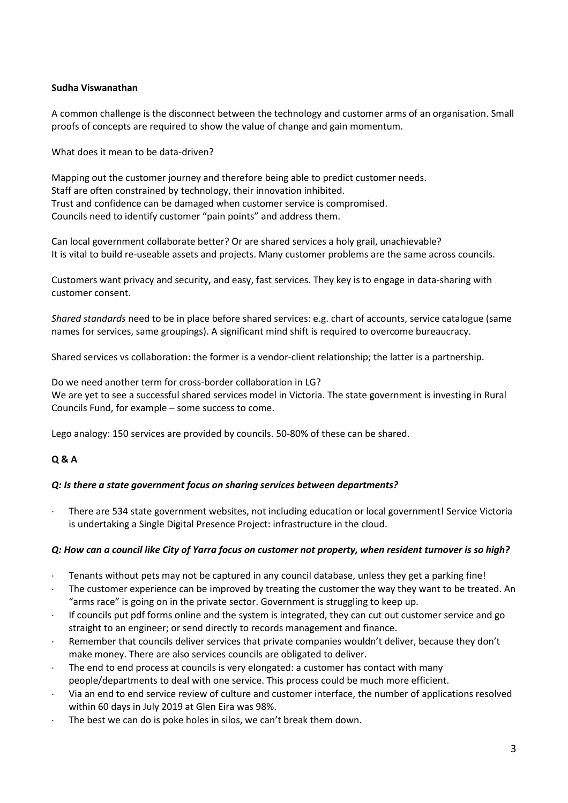## **Sudha Viswanathan**

A common challenge is the disconnect between the technology and customer arms of an organisation. Small proofs of concepts are required to show the value of change and gain momentum.

What does it mean to be data-driven?

Mapping out the customer journey and therefore being able to predict customer needs. Staff are often constrained by technology, their innovation inhibited. Trust and confidence can be damaged when customer service is compromised. Councils need to identify customer "pain points" and address them.

Can local government collaborate better? Or are shared services a holy grail, unachievable? It is vital to build re-useable assets and projects. Many customer problems are the same across councils.

Customers want privacy and security, and easy, fast services. They key is to engage in data-sharing with customer consent.

*Shared standards* need to be in place before shared services: e.g. chart of accounts, service catalogue (same names for services, same groupings). A significant mind shift is required to overcome bureaucracy.

Shared services vs collaboration: the former is a vendor-client relationship; the latter is a partnership.

Do we need another term for cross-border collaboration in LG? We are yet to see a successful shared services model in Victoria. The state government is investing in Rural Councils Fund, for example – some success to come.

Lego analogy: 150 services are provided by councils. 50-80% of these can be shared.

# **Q & A**

# *Q: Is there a state government focus on sharing services between departments?*

 There are 534 state government websites, not including education or local government! Service Victoria is undertaking a Single Digital Presence Project: infrastructure in the cloud.

# *Q: How can a council like City of Yarra focus on customer not property, when resident turnover is so high?*

- Tenants without pets may not be captured in any council database, unless they get a parking fine!
- The customer experience can be improved by treating the customer the way they want to be treated. An "arms race" is going on in the private sector. Government is struggling to keep up.
- If councils put pdf forms online and the system is integrated, they can cut out customer service and go straight to an engineer; or send directly to records management and finance.
- Remember that councils deliver services that private companies wouldn't deliver, because they don't make money. There are also services councils are obligated to deliver.
- The end to end process at councils is very elongated: a customer has contact with many people/departments to deal with one service. This process could be much more efficient.
- Via an end to end service review of culture and customer interface, the number of applications resolved within 60 days in July 2019 at Glen Eira was 98%.
- The best we can do is poke holes in silos, we can't break them down.